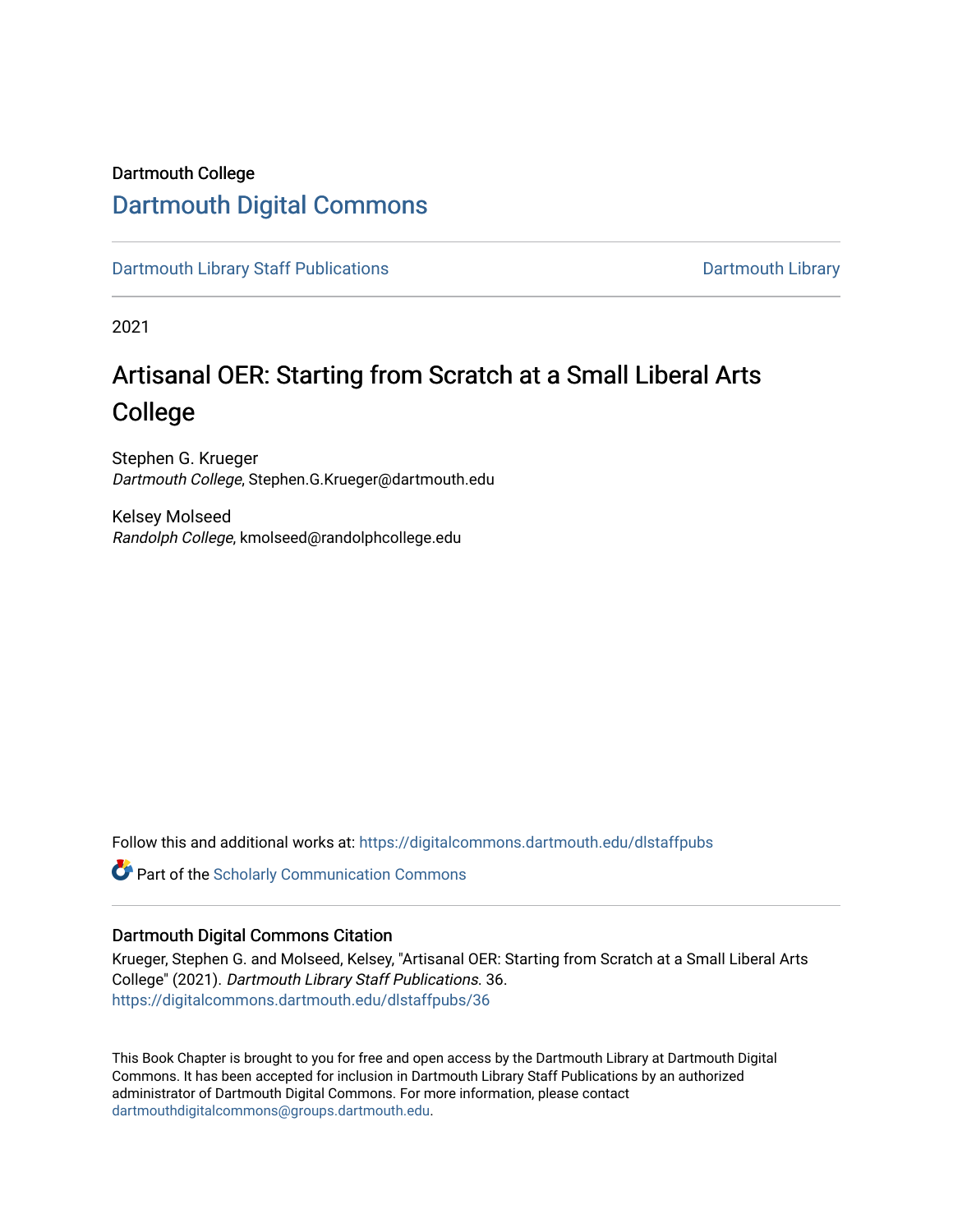# Dartmouth College [Dartmouth Digital Commons](https://digitalcommons.dartmouth.edu/)

[Dartmouth Library Staff Publications](https://digitalcommons.dartmouth.edu/dlstaffpubs) **Dartmouth Library** Dartmouth Library

2021

# Artisanal OER: Starting from Scratch at a Small Liberal Arts College

Stephen G. Krueger Dartmouth College, Stephen.G.Krueger@dartmouth.edu

Kelsey Molseed Randolph College, kmolseed@randolphcollege.edu

Follow this and additional works at: [https://digitalcommons.dartmouth.edu/dlstaffpubs](https://digitalcommons.dartmouth.edu/dlstaffpubs?utm_source=digitalcommons.dartmouth.edu%2Fdlstaffpubs%2F36&utm_medium=PDF&utm_campaign=PDFCoverPages) 

Part of the [Scholarly Communication Commons](http://network.bepress.com/hgg/discipline/1272?utm_source=digitalcommons.dartmouth.edu%2Fdlstaffpubs%2F36&utm_medium=PDF&utm_campaign=PDFCoverPages) 

#### Dartmouth Digital Commons Citation

Krueger, Stephen G. and Molseed, Kelsey, "Artisanal OER: Starting from Scratch at a Small Liberal Arts College" (2021). Dartmouth Library Staff Publications. 36. [https://digitalcommons.dartmouth.edu/dlstaffpubs/36](https://digitalcommons.dartmouth.edu/dlstaffpubs/36?utm_source=digitalcommons.dartmouth.edu%2Fdlstaffpubs%2F36&utm_medium=PDF&utm_campaign=PDFCoverPages)

This Book Chapter is brought to you for free and open access by the Dartmouth Library at Dartmouth Digital Commons. It has been accepted for inclusion in Dartmouth Library Staff Publications by an authorized administrator of Dartmouth Digital Commons. For more information, please contact [dartmouthdigitalcommons@groups.dartmouth.edu](mailto:dartmouthdigitalcommons@groups.dartmouth.edu).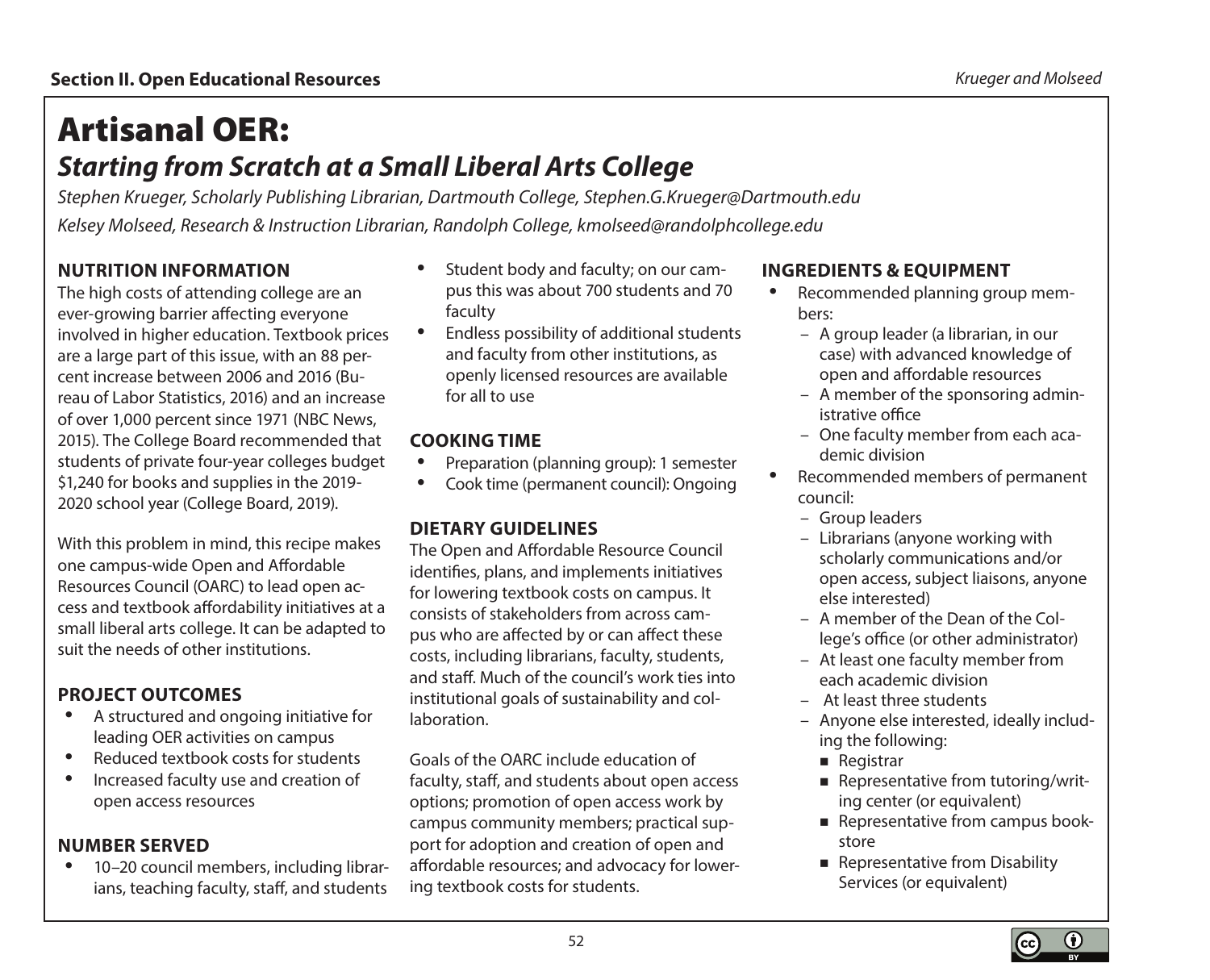# Artisanal OER: *Starting from Scratch at a Small Liberal Arts College*

*Stephen Krueger, Scholarly Publishing Librarian, Dartmouth College, [Stephen.G.Krueger@Dartmouth.edu](mailto:Stephen.G.Krueger@Dartmouth.edu) Kelsey Molseed, Research & Instruction Librarian, Randolph College, [kmolseed@randolphcollege.edu](mailto:kmolseed@randolphcollege.edu)*

# **NUTRITION INFORMATION**

The high costs of attending college are an ever-growing barrier affecting everyone involved in higher education. Textbook prices are a large part of this issue, with an 88 percent increase between 2006 and 2016 (Bureau of Labor Statistics, 2016) and an increase of over 1,000 percent since 1971 (NBC News, 2015). The College Board recommended that students of private four-year colleges budget \$1,240 for books and supplies in the 2019- 2020 school year (College Board, 2019).

With this problem in mind, this recipe makes one campus-wide Open and Affordable Resources Council (OARC) to lead open access and textbook affordability initiatives at a small liberal arts college. It can be adapted to suit the needs of other institutions.

#### **PROJECT OUTCOMES**

- A structured and ongoing initiative for leading OER activities on campus
- Reduced textbook costs for students
- Increased faculty use and creation of open access resources

#### **NUMBER SERVED**

• 10–20 council members, including librarians, teaching faculty, staff, and students

- Student body and faculty; on our campus this was about 700 students and 70 faculty
- Endless possibility of additional students and faculty from other institutions, as openly licensed resources are available for all to use

#### **COOKING TIME**

- Preparation (planning group): 1 semester
- Cook time (permanent council): Ongoing

# **DIETARY GUIDELINES**

The Open and Affordable Resource Council identifies, plans, and implements initiatives for lowering textbook costs on campus. It consists of stakeholders from across campus who are affected by or can affect these costs, including librarians, faculty, students, and staff. Much of the council's work ties into institutional goals of sustainability and collaboration.

Goals of the OARC include education of faculty, staff, and students about open access options; promotion of open access work by campus community members; practical support for adoption and creation of open and affordable resources; and advocacy for lowering textbook costs for students.

#### **INGREDIENTS & EQUIPMENT**

- Recommended planning group members:
	- A group leader (a librarian, in our case) with advanced knowledge of open and affordable resources
	- A member of the sponsoring administrative office
	- One faculty member from each academic division
- Recommended members of permanent council:
	- Group leaders
	- Librarians (anyone working with scholarly communications and/or open access, subject liaisons, anyone else interested)
	- A member of the Dean of the College's office (or other administrator)
	- At least one faculty member from each academic division
	- At least three students
	- Anyone else interested, ideally including the following:
		- **Registrar**
		- Representative from tutoring/writing center (or equivalent)
		- Representative from campus bookstore
		- Representative from Disability Services (or equivalent)

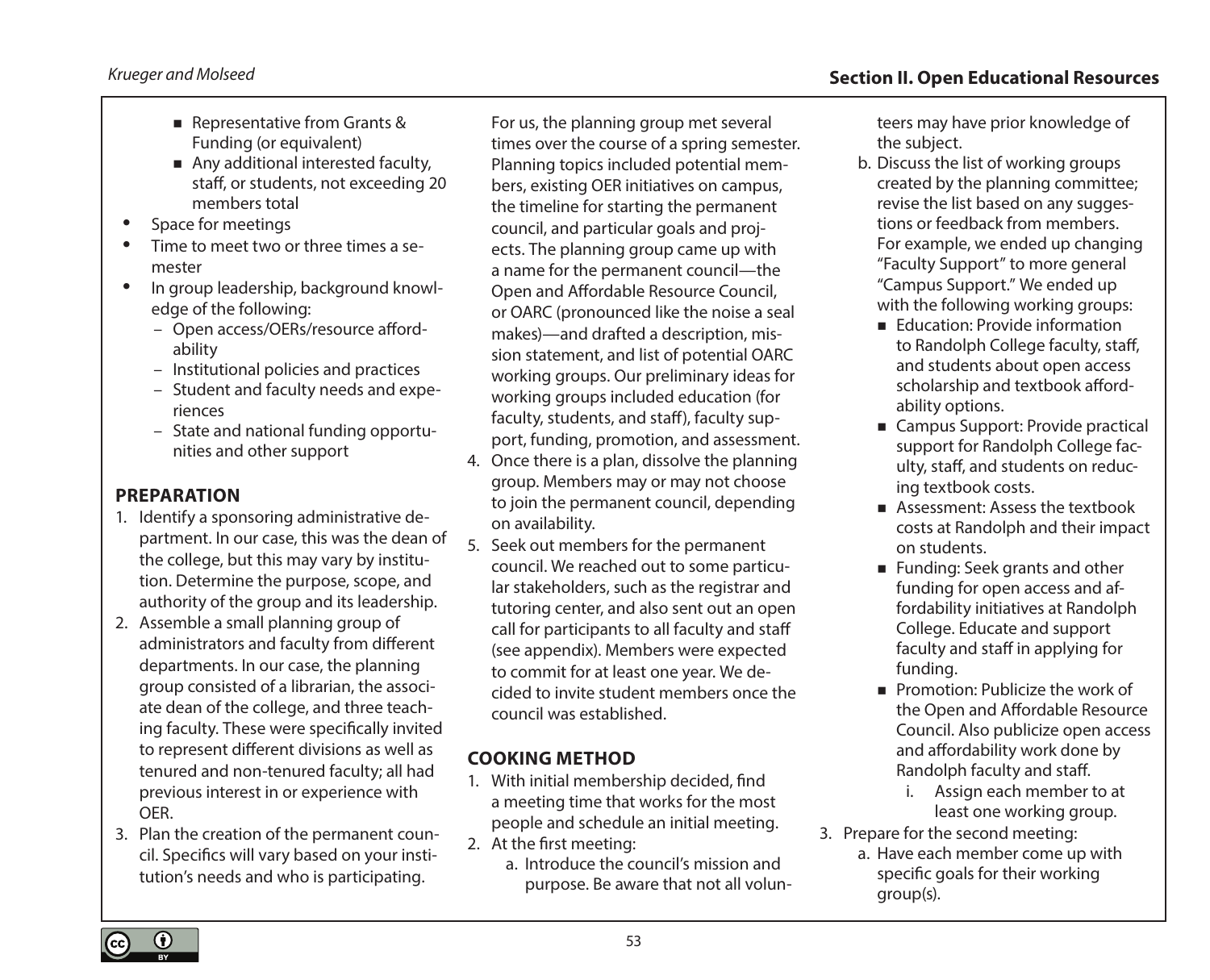- Representative from Grants & Funding (or equivalent)
- Any additional interested faculty, staff, or students, not exceeding 20 members total
- Space for meetings
- Time to meet two or three times a semester
- In group leadership, background knowledge of the following:
	- Open access/OERs/resource affordability
	- Institutional policies and practices
	- Student and faculty needs and experiences
	- State and national funding opportunities and other support

# **PREPARATION**

- 1. Identify a sponsoring administrative department. In our case, this was the dean of the college, but this may vary by institution. Determine the purpose, scope, and authority of the group and its leadership.
- 2. Assemble a small planning group of administrators and faculty from different departments. In our case, the planning group consisted of a librarian, the associate dean of the college, and three teaching faculty. These were specifically invited to represent different divisions as well as tenured and non-tenured faculty; all had previous interest in or experience with OER.
- 3. Plan the creation of the permanent council. Specifics will vary based on your institution's needs and who is participating.

For us, the planning group met several times over the course of a spring semester. Planning topics included potential members, existing OER initiatives on campus, the timeline for starting the permanent council, and particular goals and projects. The planning group came up with a name for the permanent council—the Open and Affordable Resource Council, or OARC (pronounced like the noise a seal makes)—and drafted a description, mission statement, and list of potential OARC working groups. Our preliminary ideas for working groups included education (for faculty, students, and staff), faculty support, funding, promotion, and assessment.

- 4. Once there is a plan, dissolve the planning group. Members may or may not choose to join the permanent council, depending on availability.
- 5. Seek out members for the permanent council. We reached out to some particular stakeholders, such as the registrar and tutoring center, and also sent out an open call for participants to all faculty and staff (see appendix). Members were expected to commit for at least one year. We decided to invite student members once the council was established.

# **COOKING METHOD**

- 1. With initial membership decided, find a meeting time that works for the most people and schedule an initial meeting.
- 2. At the first meeting:
	- a. Introduce the council's mission and purpose. Be aware that not all volun-

teers may have prior knowledge of the subject.

- b. Discuss the list of working groups created by the planning committee; revise the list based on any suggestions or feedback from members. For example, we ended up changing "Faculty Support" to more general "Campus Support." We ended up with the following working groups:
	- Education: Provide information to Randolph College faculty, staff, and students about open access scholarship and textbook affordability options.
	- Campus Support: Provide practical support for Randolph College faculty, staff, and students on reducing textbook costs.
	- Assessment: Assess the textbook costs at Randolph and their impact on students.
	- **Funding: Seek grants and other** funding for open access and affordability initiatives at Randolph College. Educate and support faculty and staff in applying for funding.
	- Promotion: Publicize the work of the Open and Affordable Resource Council. Also publicize open access and affordability work done by Randolph faculty and staff.
		- i. Assign each member to at least one working group.
- 3. Prepare for the second meeting:
	- a. Have each member come up with specific goals for their working group(s).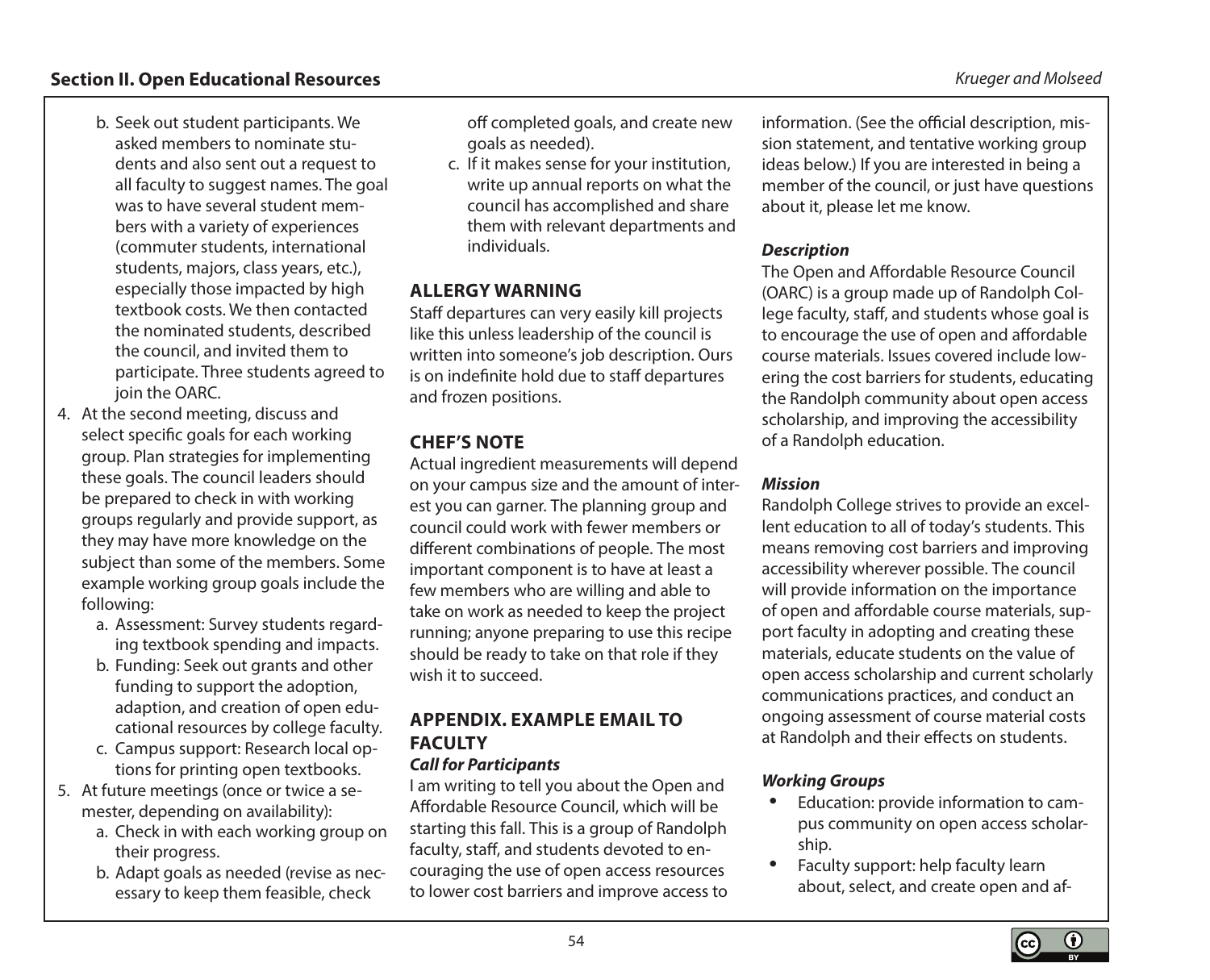#### **Section II. Open Educational Resources** *Krueger and Molseed*

- b. Seek out student participants. We asked members to nominate students and also sent out a request to all faculty to suggest names. The goal was to have several student members with a variety of experiences (commuter students, international students, majors, class years, etc.), especially those impacted by high textbook costs. We then contacted the nominated students, described the council, and invited them to participate. Three students agreed to join the OARC.
- 4. At the second meeting, discuss and select specific goals for each working group. Plan strategies for implementing these goals. The council leaders should be prepared to check in with working groups regularly and provide support, as they may have more knowledge on the subject than some of the members. Some example working group goals include the following:
	- a. Assessment: Survey students regarding textbook spending and impacts.
	- b. Funding: Seek out grants and other funding to support the adoption, adaption, and creation of open educational resources by college faculty.
	- c. Campus support: Research local options for printing open textbooks.
- 5. At future meetings (once or twice a semester, depending on availability):
	- a. Check in with each working group on their progress.
	- b. Adapt goals as needed (revise as necessary to keep them feasible, check

off completed goals, and create new goals as needed).

c. If it makes sense for your institution, write up annual reports on what the council has accomplished and share them with relevant departments and individuals.

#### **ALLERGY WARNING**

Staff departures can very easily kill projects like this unless leadership of the council is written into someone's job description. Ours is on indefinite hold due to staff departures and frozen positions.

# **CHEF'S NOTE**

Actual ingredient measurements will depend on your campus size and the amount of interest you can garner. The planning group and council could work with fewer members or different combinations of people. The most important component is to have at least a few members who are willing and able to take on work as needed to keep the project running; anyone preparing to use this recipe should be ready to take on that role if they wish it to succeed.

# **APPENDIX. EXAMPLE EMAIL TO FACULTY**

#### *Call for Participants*

I am writing to tell you about the Open and Affordable Resource Council, which will be starting this fall. This is a group of Randolph faculty, staff, and students devoted to encouraging the use of open access resources to lower cost barriers and improve access to

information. (See the official description, mission statement, and tentative working group ideas below.) If you are interested in being a member of the council, or just have questions about it, please let me know.

#### *Description*

The Open and Affordable Resource Council (OARC) is a group made up of Randolph College faculty, staff, and students whose goal is to encourage the use of open and affordable course materials. Issues covered include lowering the cost barriers for students, educating the Randolph community about open access scholarship, and improving the accessibility of a Randolph education.

#### *Mission*

Randolph College strives to provide an excellent education to all of today's students. This means removing cost barriers and improving accessibility wherever possible. The council will provide information on the importance of open and affordable course materials, support faculty in adopting and creating these materials, educate students on the value of open access scholarship and current scholarly communications practices, and conduct an ongoing assessment of course material costs at Randolph and their effects on students.

#### *Working Groups*

- Education: provide information to campus community on open access scholarship.
- Faculty support: help faculty learn about, select, and create open and af-